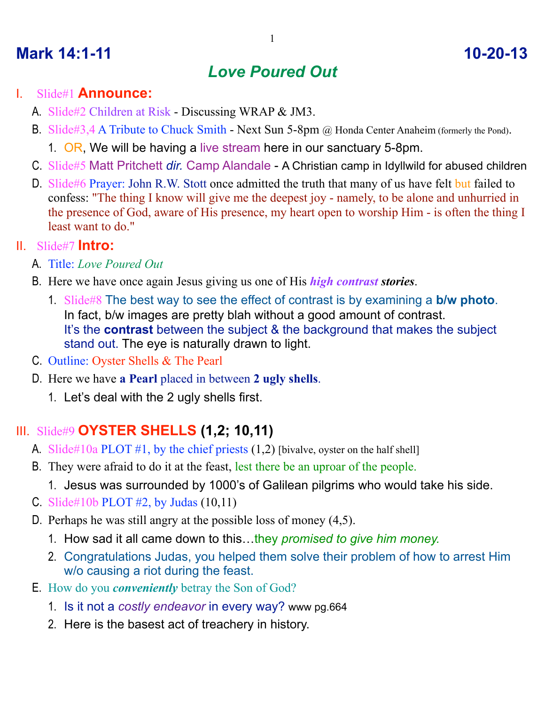# **Mark 14:1-11** 10-20-13

# *Love Poured Out*

## I. Slide#1 **Announce:**

- A. Slide#2 Children at Risk Discussing WRAP & JM3.
- B. Slide#3,4 A Tribute to Chuck Smith Next Sun 5-8pm @ Honda Center Anaheim (formerly the Pond).
	- 1. OR, We will be having a live stream here in our sanctuary 5-8pm.
- C. Slide#5 Matt Pritchett *dir.* Camp Alandale A Christian camp in Idyllwild for abused children
- D. Slide#6 Prayer: John R.W. Stott once admitted the truth that many of us have felt but failed to confess: "The thing I know will give me the deepest joy - namely, to be alone and unhurried in the presence of God, aware of His presence, my heart open to worship Him - is often the thing I least want to do."

## II. Slide#7 **Intro:**

- A. Title: *Love Poured Out*
- B. Here we have once again Jesus giving us one of His *high contrast stories*.
	- 1. Slide#8 The best way to see the effect of contrast is by examining a **b/w photo**. In fact, b/w images are pretty blah without a good amount of contrast. It's the **contrast** between the subject & the background that makes the subject stand out. The eye is naturally drawn to light.
- C. Outline: Oyster Shells & The Pearl
- D. Here we have **a Pearl** placed in between **2 ugly shells**.
	- 1. Let's deal with the 2 ugly shells first.

## III. Slide#9 **OYSTER SHELLS (1,2; 10,11)**

- A. Slide#10a PLOT #1, by the chief priests  $(1,2)$  [bivalve, oyster on the half shell]
- B. They were afraid to do it at the feast, lest there be an uproar of the people.
	- 1. Jesus was surrounded by 1000's of Galilean pilgrims who would take his side.
- C. Slide#10b PLOT #2, by Judas  $(10,11)$
- D. Perhaps he was still angry at the possible loss of money (4,5).
	- 1. How sad it all came down to this…they *promised to give him money.*
	- 2. Congratulations Judas, you helped them solve their problem of how to arrest Him w/o causing a riot during the feast.
- E. How do you *conveniently* betray the Son of God?
	- 1. Is it not a *costly endeavor* in every way? www pg.664
	- 2. Here is the basest act of treachery in history.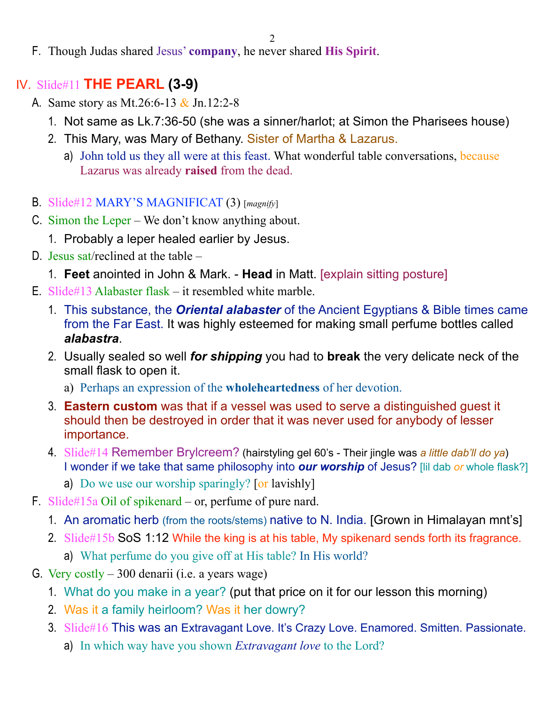2

F. Though Judas shared Jesus' **company**, he never shared **His Spirit**.

## IV. Slide#11 **THE PEARL (3-9)**

- A. Same story as Mt.26:6-13 & Jn.12:2-8
	- 1. Not same as Lk.7:36-50 (she was a sinner/harlot; at Simon the Pharisees house)
	- 2. This Mary, was Mary of Bethany. Sister of Martha & Lazarus.
		- a) John told us they all were at this feast. What wonderful table conversations, because Lazarus was already **raised** from the dead.
- B. Slide#12 MARY'S MAGNIFICAT (3) [*magnify*]
- C. Simon the Leper We don't know anything about.
	- 1. Probably a leper healed earlier by Jesus.
- D. Jesus sat/reclined at the table
	- 1. **Feet** anointed in John & Mark. **Head** in Matt. [explain sitting posture]
- E. Slide#13 Alabaster flask it resembled white marble.
	- 1. This substance, the *Oriental alabaster* of the Ancient Egyptians & Bible times came from the Far East. It was highly esteemed for making small perfume bottles called *alabastra*.
	- 2. Usually sealed so well *for shipping* you had to **break** the very delicate neck of the small flask to open it.
		- a) Perhaps an expression of the **wholeheartedness** of her devotion.
	- 3. **Eastern custom** was that if a vessel was used to serve a distinguished guest it should then be destroyed in order that it was never used for anybody of lesser importance.
	- 4. Slide#14 Remember Brylcreem? (hairstyling gel 60's Their jingle was *a little dab'll do ya*) I wonder if we take that same philosophy into *our worship* of Jesus? [lil dab *or* whole flask?]
		- a) Do we use our worship sparingly? [or lavishly]
- F. Slide#15a Oil of spikenard or, perfume of pure nard.
	- 1. An aromatic herb (from the roots/stems) native to N. India. [Grown in Himalayan mnt's]
	- 2. Slide#15b SoS 1:12 While the king is at his table, My spikenard sends forth its fragrance.
		- a) What perfume do you give off at His table? In His world?
- G. Very costly 300 denarii (i.e. a years wage)
	- 1. What do you make in a year? (put that price on it for our lesson this morning)
	- 2. Was it a family heirloom? Was it her dowry?
	- 3. Slide#16 This was an Extravagant Love. It's Crazy Love. Enamored. Smitten. Passionate.
		- a) In which way have you shown *Extravagant love* to the Lord?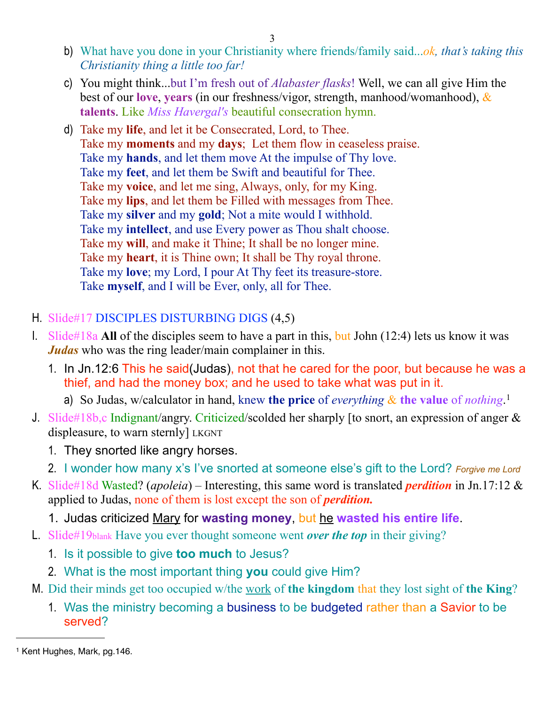3

- b) What have you done in your Christianity where friends/family said...*ok, that's taking this Christianity thing a little too far!*
- c) You might think...but I'm fresh out of *Alabaster flasks*! Well, we can all give Him the best of our **love**, **years** (in our freshness/vigor, strength, manhood/womanhood), & **talents**. Like *Miss Havergal's* beautiful consecration hymn.
- d) Take my **life**, and let it be Consecrated, Lord, to Thee. Take my **moments** and my **days**; Let them flow in ceaseless praise. Take my **hands**, and let them move At the impulse of Thy love. Take my **feet**, and let them be Swift and beautiful for Thee. Take my **voice**, and let me sing, Always, only, for my King. Take my **lips**, and let them be Filled with messages from Thee. Take my **silver** and my **gold**; Not a mite would I withhold. Take my **intellect**, and use Every power as Thou shalt choose. Take my **will**, and make it Thine; It shall be no longer mine. Take my **heart**, it is Thine own; It shall be Thy royal throne. Take my **love**; my Lord, I pour At Thy feet its treasure-store. Take **myself**, and I will be Ever, only, all for Thee.

### H. Slide#17 DISCIPLES DISTURBING DIGS (4,5)

- I. Slide#18a **All** of the disciples seem to have a part in this, but John (12:4) lets us know it was *Judas* who was the ring leader/main complainer in this.
	- 1. In Jn.12:6 This he said(Judas), not that he cared for the poor, but because he was a thief, and had the money box; and he used to take what was put in it.
		- a) So Judas, w/calculator in hand, knew the price of *everything* & the value of *nothing*.<sup>[1](#page-2-0)</sup>
- J. Slide#18b,c Indignant/angry. Criticized/scolded her sharply [to snort, an expression of anger & displeasure, to warn sternly] LKGNT
	- 1. They snorted like angry horses.
	- 2. I wonder how many x's I've snorted at someone else's gift to the Lord? *Forgive me Lord*
- K. Slide#18d Wasted? (*apoleia*) Interesting, this same word is translated *perdition* in Jn.17:12 & applied to Judas, none of them is lost except the son of *perdition.*
	- 1. Judas criticized Mary for **wasting money**, but he **wasted his entire life**.
- L. Slide#19blank Have you ever thought someone went *over the top* in their giving?
	- 1. Is it possible to give **too much** to Jesus?
	- 2. What is the most important thing **you** could give Him?
- M. Did their minds get too occupied w/the work of **the kingdom** that they lost sight of **the King**?
	- 1. Was the ministry becoming a business to be budgeted rather than a Savior to be served?

<span id="page-2-0"></span><sup>1</sup> Kent Hughes, Mark, pg.146.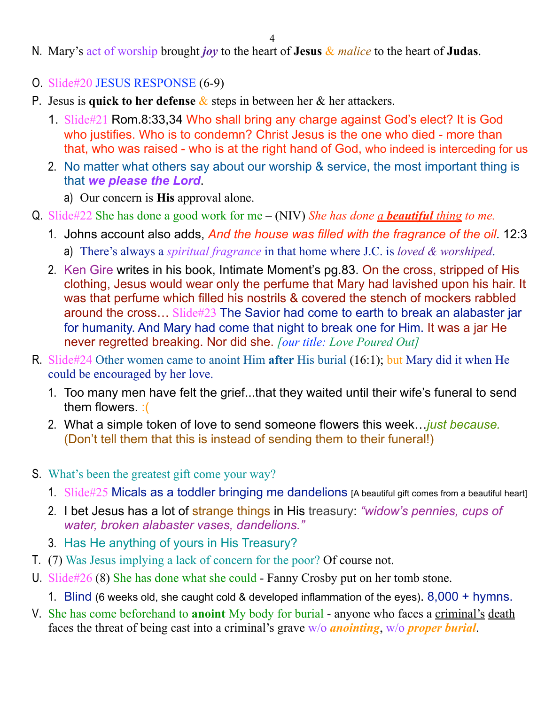- N. Mary's act of worship brought *joy* to the heart of **Jesus** & *malice* to the heart of **Judas**.
- O. Slide#20 JESUS RESPONSE (6-9)
- P. Jesus is **quick to her defense** & steps in between her & her attackers.
	- 1. Slide#21 Rom.8:33,34 Who shall bring any charge against God's elect? It is God who justifies. Who is to condemn? Christ Jesus is the one who died - more than that, who was raised - who is at the right hand of God, who indeed is interceding for us
	- 2. No matter what others say about our worship & service, the most important thing is that *we please the Lord*.
		- a) Our concern is **His** approval alone.
- Q. Slide#22 She has done a good work for me (NIV) *She has done a beautiful thing to me.* 
	- 1. Johns account also adds, *And the house was filled with the fragrance of the oil*. 12:3
		- a) There's always a *spiritual fragrance* in that home where J.C. is *loved & worshiped*.
	- 2. Ken Gire writes in his book, Intimate Moment's pg.83. On the cross, stripped of His clothing, Jesus would wear only the perfume that Mary had lavished upon his hair. It was that perfume which filled his nostrils & covered the stench of mockers rabbled around the cross… Slide#23 The Savior had come to earth to break an alabaster jar for humanity. And Mary had come that night to break one for Him. It was a jar He never regretted breaking. Nor did she. *[our title: Love Poured Out]*
- R. Slide#24 Other women came to anoint Him **after** His burial (16:1); but Mary did it when He could be encouraged by her love.
	- 1. Too many men have felt the grief...that they waited until their wife's funeral to send them flowers. :(
	- 2. What a simple token of love to send someone flowers this week…*just because.*  (Don't tell them that this is instead of sending them to their funeral!)
- S. What's been the greatest gift come your way?
	- 1. Slide#25 Micals as a toddler bringing me dandelions [A beautiful gift comes from a beautiful heart]
	- 2. I bet Jesus has a lot of strange things in His treasury: *"widow's pennies, cups of water, broken alabaster vases, dandelions."*
	- 3. Has He anything of yours in His Treasury?
- T. (7) Was Jesus implying a lack of concern for the poor? Of course not.
- U. Slide#26 (8) She has done what she could Fanny Crosby put on her tomb stone.
	- 1. Blind (6 weeks old, she caught cold & developed inflammation of the eyes). 8,000 + hymns.
- V. She has come beforehand to **anoint** My body for burial anyone who faces a criminal's death faces the threat of being cast into a criminal's grave w/o *anointing*, w/o *proper burial*.